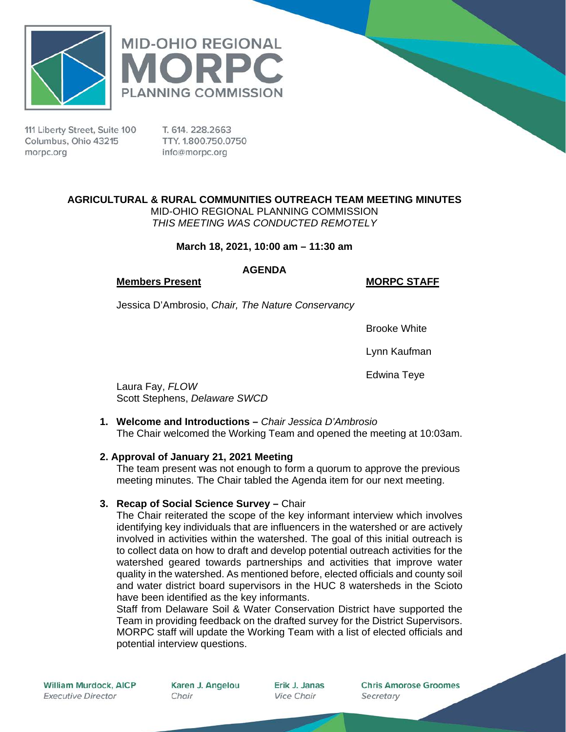



111 Liberty Street, Suite 100 Columbus, Ohio 43215 morpc.org

T. 614, 228, 2663 TTY. 1.800.750.0750 info@morpc.org

# **AGRICULTURAL & RURAL COMMUNITIES OUTREACH TEAM MEETING MINUTES**

MID-OHIO REGIONAL PLANNING COMMISSION *THIS MEETING WAS CONDUCTED REMOTELY*

## **March 18, 2021, 10:00 am – 11:30 am**

### **AGENDA**

### **Members Present MORPC STAFF**

Jessica D'Ambrosio, *Chair, The Nature Conservancy*

Brooke White

Lynn Kaufman

Edwina Teye

Laura Fay, *FLOW* Scott Stephens, *Delaware SWCD*

**1. Welcome and Introductions –** *Chair Jessica D'Ambrosio* The Chair welcomed the Working Team and opened the meeting at 10:03am.

## **2. Approval of January 21, 2021 Meeting**

The team present was not enough to form a quorum to approve the previous meeting minutes. The Chair tabled the Agenda item for our next meeting.

## **3. Recap of Social Science Survey –** Chair

The Chair reiterated the scope of the key informant interview which involves identifying key individuals that are influencers in the watershed or are actively involved in activities within the watershed. The goal of this initial outreach is to collect data on how to draft and develop potential outreach activities for the watershed geared towards partnerships and activities that improve water quality in the watershed. As mentioned before, elected officials and county soil and water district board supervisors in the HUC 8 watersheds in the Scioto have been identified as the key informants.

Staff from Delaware Soil & Water Conservation District have supported the Team in providing feedback on the drafted survey for the District Supervisors. MORPC staff will update the Working Team with a list of elected officials and potential interview questions.

Karen J. Angelou Chair

Erik J. Janas **Vice Chair** 

**Chris Amorose Groomes** Secretary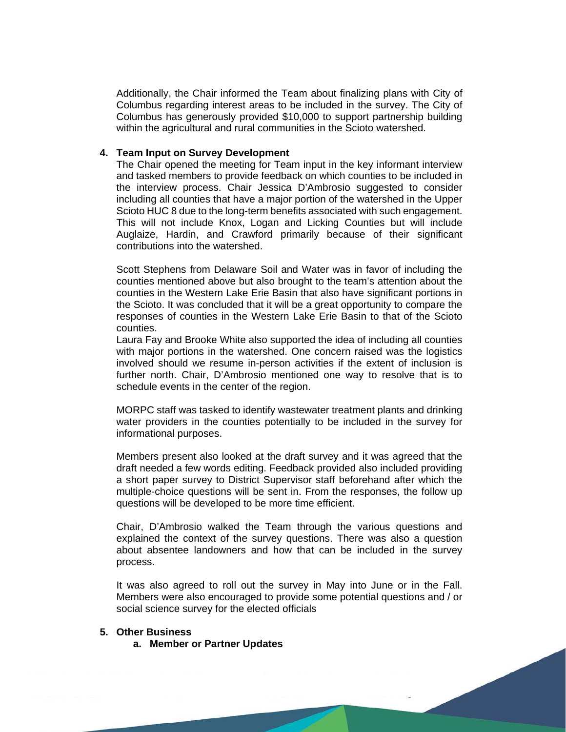Additionally, the Chair informed the Team about finalizing plans with City of Columbus regarding interest areas to be included in the survey. The City of Columbus has generously provided \$10,000 to support partnership building within the agricultural and rural communities in the Scioto watershed.

#### **4. Team Input on Survey Development**

The Chair opened the meeting for Team input in the key informant interview and tasked members to provide feedback on which counties to be included in the interview process. Chair Jessica D'Ambrosio suggested to consider including all counties that have a major portion of the watershed in the Upper Scioto HUC 8 due to the long-term benefits associated with such engagement. This will not include Knox, Logan and Licking Counties but will include Auglaize, Hardin, and Crawford primarily because of their significant contributions into the watershed.

Scott Stephens from Delaware Soil and Water was in favor of including the counties mentioned above but also brought to the team's attention about the counties in the Western Lake Erie Basin that also have significant portions in the Scioto. It was concluded that it will be a great opportunity to compare the responses of counties in the Western Lake Erie Basin to that of the Scioto counties.

Laura Fay and Brooke White also supported the idea of including all counties with major portions in the watershed. One concern raised was the logistics involved should we resume in-person activities if the extent of inclusion is further north. Chair, D'Ambrosio mentioned one way to resolve that is to schedule events in the center of the region.

MORPC staff was tasked to identify wastewater treatment plants and drinking water providers in the counties potentially to be included in the survey for informational purposes.

Members present also looked at the draft survey and it was agreed that the draft needed a few words editing. Feedback provided also included providing a short paper survey to District Supervisor staff beforehand after which the multiple-choice questions will be sent in. From the responses, the follow up questions will be developed to be more time efficient.

Chair, D'Ambrosio walked the Team through the various questions and explained the context of the survey questions. There was also a question about absentee landowners and how that can be included in the survey process.

It was also agreed to roll out the survey in May into June or in the Fall. Members were also encouraged to provide some potential questions and / or social science survey for the elected officials

#### **5. Other Business**

**a. Member or Partner Updates**